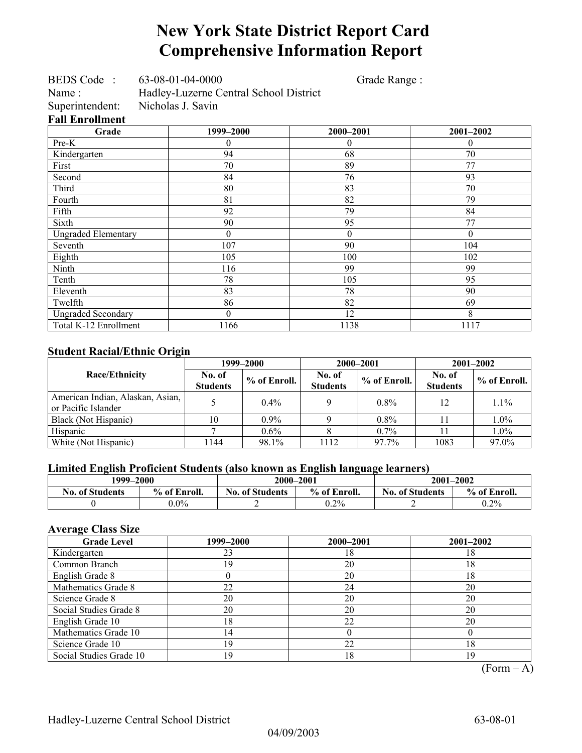## **New York State District Report Card Comprehensive Information Report**

| <b>BEDS</b> Code | 63-08-01-04-0000 | Grade Range: |
|------------------|------------------|--------------|
|                  |                  |              |

Name : Hadley-Luzerne Central School District<br>Superintendent: Nicholas J. Savin Superintendent: **Fall Enrollment** 

| Grade                      | 1999-2000 | 2000-2001 | 2001-2002 |
|----------------------------|-----------|-----------|-----------|
| Pre-K                      | $\Omega$  | $\theta$  | $\theta$  |
| Kindergarten               | 94        | 68        | 70        |
| First                      | 70        | 89        | 77        |
| Second                     | 84        | 76        | 93        |
| Third                      | 80        | 83        | 70        |
| Fourth                     | 81        | 82        | 79        |
| Fifth                      | 92        | 79        | 84        |
| Sixth                      | 90        | 95        | 77        |
| <b>Ungraded Elementary</b> | $\theta$  | $\theta$  | $\theta$  |
| Seventh                    | 107       | 90        | 104       |
| Eighth                     | 105       | 100       | 102       |
| Ninth                      | 116       | 99        | 99        |
| Tenth                      | 78        | 105       | 95        |
| Eleventh                   | 83        | 78        | 90        |
| Twelfth                    | 86        | 82        | 69        |
| <b>Ungraded Secondary</b>  | $\theta$  | 12        | 8         |
| Total K-12 Enrollment      | 1166      | 1138      | 1117      |

### **Student Racial/Ethnic Origin**

|                                                         | 1999–2000                 |              |                           | 2000-2001    | $2001 - 2002$             |              |
|---------------------------------------------------------|---------------------------|--------------|---------------------------|--------------|---------------------------|--------------|
| <b>Race/Ethnicity</b>                                   | No. of<br><b>Students</b> | % of Enroll. | No. of<br><b>Students</b> | % of Enroll. | No. of<br><b>Students</b> | % of Enroll. |
| American Indian, Alaskan, Asian,<br>or Pacific Islander |                           | $0.4\%$      |                           | $0.8\%$      | 12                        | 1.1%         |
| Black (Not Hispanic)                                    | 10                        | $0.9\%$      |                           | $0.8\%$      |                           | 1.0%         |
| Hispanic                                                |                           | $0.6\%$      |                           | $0.7\%$      |                           | 1.0%         |
| White (Not Hispanic)                                    | 144                       | 98.1%        | 1112                      | 97.7%        | 1083                      | 97.0%        |

### **Limited English Proficient Students (also known as English language learners)**

| 1999–2000              |              | 2000-2001                              |         | $2001 - 2002$          |              |  |
|------------------------|--------------|----------------------------------------|---------|------------------------|--------------|--|
| <b>No. of Students</b> | % of Enroll. | % of Enroll.<br><b>No. of Students</b> |         | <b>No. of Students</b> | % of Enroll. |  |
|                        | $0.0\%$      |                                        | $0.2\%$ |                        | $0.2\%$      |  |

### **Average Class Size**

| <b>Grade Level</b>      | 1999–2000      | 2000-2001 | 2001-2002 |
|-------------------------|----------------|-----------|-----------|
| Kindergarten            | 23             | 18        | 18        |
| Common Branch           | 19             | 20        | 18        |
| English Grade 8         |                | 20        | 18        |
| Mathematics Grade 8     | 22             | 24        | 20        |
| Science Grade 8         | 20             | 20        | 20        |
| Social Studies Grade 8  | 20             | 20        | 20        |
| English Grade 10        | 18             | 22        | 20        |
| Mathematics Grade 10    | $\overline{4}$ |           |           |
| Science Grade 10        | 19             | 22        | 18        |
| Social Studies Grade 10 | 19             | 18        | 19        |

 $(Form - A)$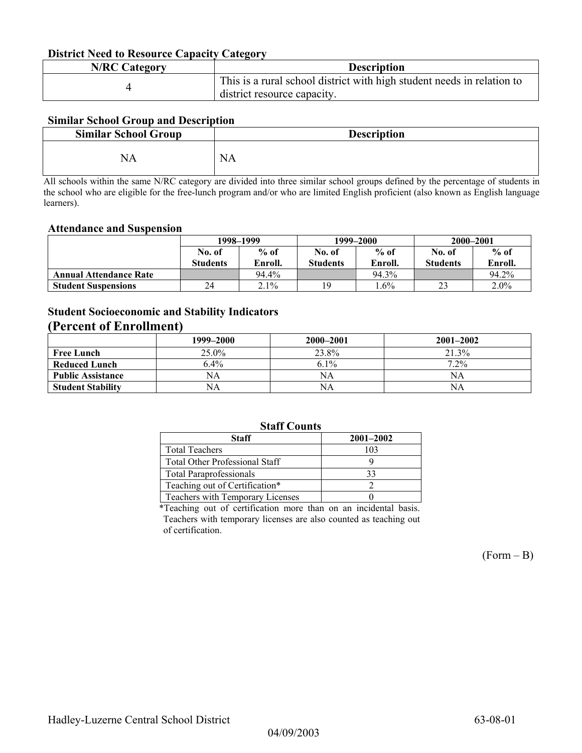#### **District Need to Resource Capacity Category**

| <b>N/RC Category</b> | <b>Description</b>                                                     |
|----------------------|------------------------------------------------------------------------|
|                      | This is a rural school district with high student needs in relation to |
|                      | district resource capacity.                                            |

#### **Similar School Group and Description**

| <b>Similar School Group</b> | <b>Description</b> |
|-----------------------------|--------------------|
| NA                          | <b>NA</b>          |

All schools within the same N/RC category are divided into three similar school groups defined by the percentage of students in the school who are eligible for the free-lunch program and/or who are limited English proficient (also known as English language learners).

#### **Attendance and Suspension**

|                               | 1998–1999       |         | 1999–2000       |         | 2000-2001       |         |
|-------------------------------|-----------------|---------|-----------------|---------|-----------------|---------|
|                               | No. of          | $%$ of  | No. of          | $%$ of  | No. of          | $%$ of  |
|                               | <b>Students</b> | Enroll. | <b>Students</b> | Enroll. | <b>Students</b> | Enroll. |
| <b>Annual Attendance Rate</b> |                 | 94.4%   |                 | 94.3%   |                 | 94.2%   |
| <b>Student Suspensions</b>    | 24              | 2.1%    | 1 Q             | $.6\%$  | ل کے            | $2.0\%$ |

### **Student Socioeconomic and Stability Indicators**

### **(Percent of Enrollment)**

|                          | 1999–2000 | 2000–2001 | $2001 - 2002$ |
|--------------------------|-----------|-----------|---------------|
| <b>Free Lunch</b>        | $25.0\%$  | 23.8%     | 21.3%         |
| <b>Reduced Lunch</b>     | $6.4\%$   | $6.1\%$   | $7.2\%$       |
| <b>Public Assistance</b> | NA        | NA        | NA            |
| <b>Student Stability</b> | NA        | NA        | NΑ            |

#### **Staff Counts**

| Staff                                 | $2001 - 2002$ |  |  |  |  |  |
|---------------------------------------|---------------|--|--|--|--|--|
| <b>Total Teachers</b>                 | 103           |  |  |  |  |  |
| <b>Total Other Professional Staff</b> |               |  |  |  |  |  |
| <b>Total Paraprofessionals</b>        | 33            |  |  |  |  |  |
| Teaching out of Certification*        |               |  |  |  |  |  |
| Teachers with Temporary Licenses      |               |  |  |  |  |  |
|                                       |               |  |  |  |  |  |

\*Teaching out of certification more than on an incidental basis. Teachers with temporary licenses are also counted as teaching out of certification.

 $(Form - B)$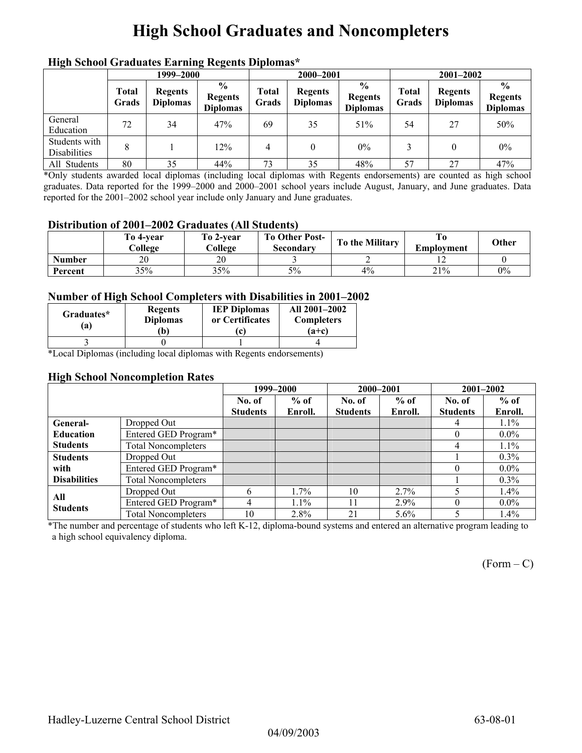## **High School Graduates and Noncompleters**

|                               | 1999–2000             |                                   |                                                    | 2000-2001             |                                   |                                                    | $2001 - 2002$  |                                   |                                                    |
|-------------------------------|-----------------------|-----------------------------------|----------------------------------------------------|-----------------------|-----------------------------------|----------------------------------------------------|----------------|-----------------------------------|----------------------------------------------------|
|                               | <b>Total</b><br>Grads | <b>Regents</b><br><b>Diplomas</b> | $\frac{6}{9}$<br><b>Regents</b><br><b>Diplomas</b> | <b>Total</b><br>Grads | <b>Regents</b><br><b>Diplomas</b> | $\frac{0}{0}$<br><b>Regents</b><br><b>Diplomas</b> | Total<br>Grads | <b>Regents</b><br><b>Diplomas</b> | $\frac{6}{6}$<br><b>Regents</b><br><b>Diplomas</b> |
| General<br>Education          | 72                    | 34                                | 47%                                                | 69                    | 35                                | 51%                                                | 54             | 27                                | 50%                                                |
| Students with<br>Disabilities | 8                     |                                   | 12%                                                | 4                     | $\theta$                          | $0\%$                                              |                |                                   | $0\%$                                              |
| All Students                  | 80                    | 35                                | 44%                                                | 73                    | 35                                | 48%                                                | 57             | 27                                | 47%                                                |

### **High School Graduates Earning Regents Diplomas\***

\*Only students awarded local diplomas (including local diplomas with Regents endorsements) are counted as high school graduates. Data reported for the 1999–2000 and 2000–2001 school years include August, January, and June graduates. Data reported for the 2001–2002 school year include only January and June graduates.

#### **Distribution of 2001–2002 Graduates (All Students)**

|               | To 4-vear<br>College | To 2-vear<br>College | <b>To Other Post-</b><br>Secondary | To the Military | Emplovment | Other |
|---------------|----------------------|----------------------|------------------------------------|-----------------|------------|-------|
| <b>Number</b> | 20                   | 20                   |                                    |                 |            |       |
| Percent       | 35%                  | 35%                  | 5%                                 | 4%              | 21%        | 0%    |

#### **Number of High School Completers with Disabilities in 2001–2002**

| Graduates*<br>'a) | <b>Regents</b><br><b>Diplomas</b><br>Ъ) | <b>IEP Diplomas</b><br>or Certificates<br>c | All 2001-2002<br><b>Completers</b><br>$(a+c)$ |
|-------------------|-----------------------------------------|---------------------------------------------|-----------------------------------------------|
|                   |                                         |                                             |                                               |

\*Local Diplomas (including local diplomas with Regents endorsements)

#### **High School Noncompletion Rates**

|                     |                            |                 | 1999–2000 | 2000-2001       |         |                 | $2001 - 2002$ |  |
|---------------------|----------------------------|-----------------|-----------|-----------------|---------|-----------------|---------------|--|
|                     |                            | No. of          | $%$ of    | No. of          | $%$ of  | No. of          | $%$ of        |  |
|                     |                            | <b>Students</b> | Enroll.   | <b>Students</b> | Enroll. | <b>Students</b> | Enroll.       |  |
| General-            | Dropped Out                |                 |           |                 |         | 4               | $1.1\%$       |  |
| <b>Education</b>    | Entered GED Program*       |                 |           |                 |         | $\theta$        | $0.0\%$       |  |
| <b>Students</b>     | <b>Total Noncompleters</b> |                 |           |                 |         | 4               | $1.1\%$       |  |
| <b>Students</b>     | Dropped Out                |                 |           |                 |         |                 | $0.3\%$       |  |
| with                | Entered GED Program*       |                 |           |                 |         | $\left($        | $0.0\%$       |  |
| <b>Disabilities</b> | <b>Total Noncompleters</b> |                 |           |                 |         |                 | $0.3\%$       |  |
| All                 | Dropped Out                | 6               | $1.7\%$   | 10              | $2.7\%$ |                 | $1.4\%$       |  |
| <b>Students</b>     | Entered GED Program*       | 4               | $1.1\%$   | 11              | $2.9\%$ | 0               | $0.0\%$       |  |
|                     | <b>Total Noncompleters</b> | 10              | 2.8%      | 21              | $5.6\%$ |                 | $1.4\%$       |  |

\*The number and percentage of students who left K-12, diploma-bound systems and entered an alternative program leading to a high school equivalency diploma.

 $(Form - C)$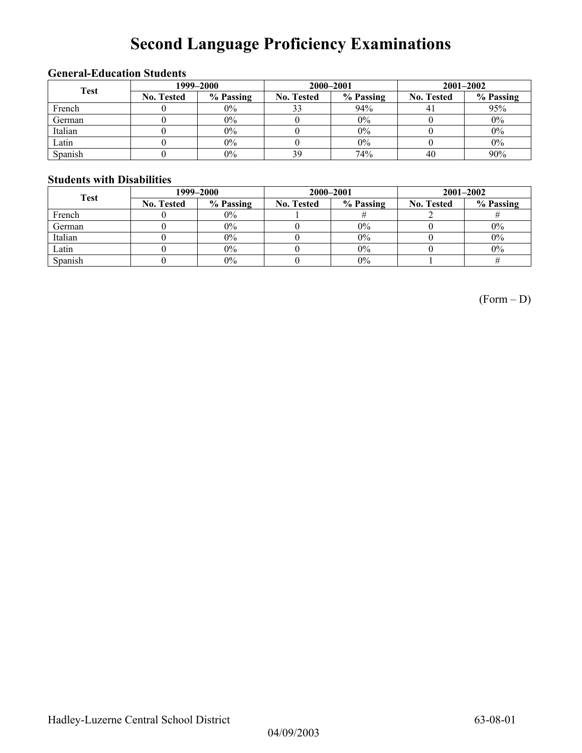# **Second Language Proficiency Examinations**

### **General-Education Students**

| <b>Test</b> | 1999–2000         |           |                   | 2000-2001 | $2001 - 2002$     |           |  |
|-------------|-------------------|-----------|-------------------|-----------|-------------------|-----------|--|
|             | <b>No. Tested</b> | % Passing | <b>No. Tested</b> | % Passing | <b>No. Tested</b> | % Passing |  |
| French      |                   | $0\%$     | 33                | 94%       |                   | 95%       |  |
| German      |                   | 0%        |                   | $0\%$     |                   | $0\%$     |  |
| Italian     |                   | 0%        |                   | 0%        |                   | $0\%$     |  |
| Latin       |                   | $0\%$     |                   | 0%        |                   | $0\%$     |  |
| Spanish     |                   | $0\%$     | 39                | 74%       | 40                | 90%       |  |

#### **Students with Disabilities**

| <b>Test</b> | 1999–2000         |           |                   | 2000-2001 | $2001 - 2002$     |           |  |
|-------------|-------------------|-----------|-------------------|-----------|-------------------|-----------|--|
|             | <b>No. Tested</b> | % Passing | <b>No. Tested</b> | % Passing | <b>No. Tested</b> | % Passing |  |
| French      |                   | $0\%$     |                   |           |                   |           |  |
| German      |                   | $0\%$     |                   | $0\%$     |                   | $0\%$     |  |
| Italian     |                   | $0\%$     |                   | $0\%$     |                   | $0\%$     |  |
| Latin       |                   | $0\%$     |                   | $0\%$     |                   | $0\%$     |  |
| Spanish     |                   | $0\%$     |                   | $0\%$     |                   |           |  |

(Form – D)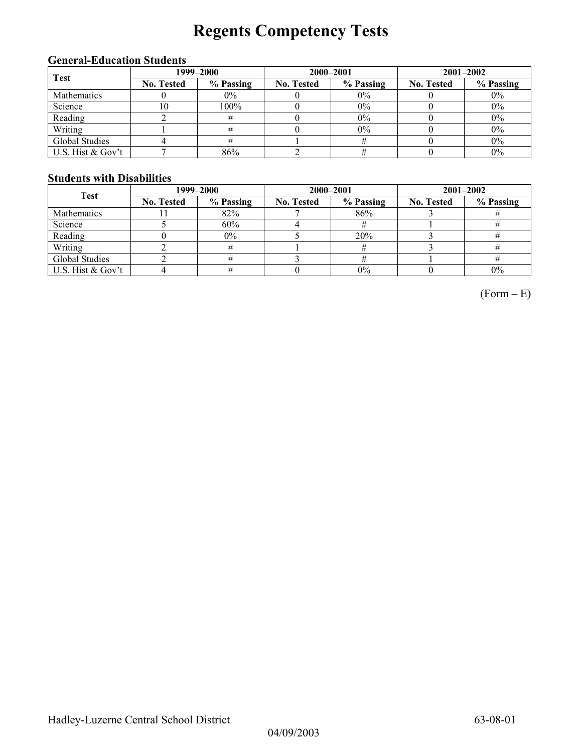# **Regents Competency Tests**

### **General-Education Students**

| <b>Test</b>       | 1999–2000         |           |                   | 2000-2001 | $2001 - 2002$     |           |  |
|-------------------|-------------------|-----------|-------------------|-----------|-------------------|-----------|--|
|                   | <b>No. Tested</b> | % Passing | <b>No. Tested</b> | % Passing | <b>No. Tested</b> | % Passing |  |
| Mathematics       |                   | 0%        |                   | $0\%$     |                   | $0\%$     |  |
| Science           | 10                | 100%      |                   | 0%        |                   | $0\%$     |  |
| Reading           |                   |           |                   | 0%        |                   | $0\%$     |  |
| Writing           |                   |           |                   | $0\%$     |                   | $0\%$     |  |
| Global Studies    |                   |           |                   |           |                   | $0\%$     |  |
| U.S. Hist & Gov't |                   | 86%       |                   |           |                   | $0\%$     |  |

#### **Students with Disabilities**

| <b>Test</b>        | 1999–2000         |           |                   | 2000-2001 | $2001 - 2002$     |           |  |
|--------------------|-------------------|-----------|-------------------|-----------|-------------------|-----------|--|
|                    | <b>No. Tested</b> | % Passing | <b>No. Tested</b> | % Passing | <b>No. Tested</b> | % Passing |  |
| <b>Mathematics</b> |                   | 82%       |                   | 86%       |                   |           |  |
| Science            |                   | 60%       |                   |           |                   |           |  |
| Reading            |                   | $0\%$     |                   | 20%       |                   |           |  |
| Writing            |                   |           |                   |           |                   |           |  |
| Global Studies     |                   |           |                   |           |                   |           |  |
| U.S. Hist & Gov't  |                   |           |                   | 0%        |                   | 0%        |  |

 $(Form - E)$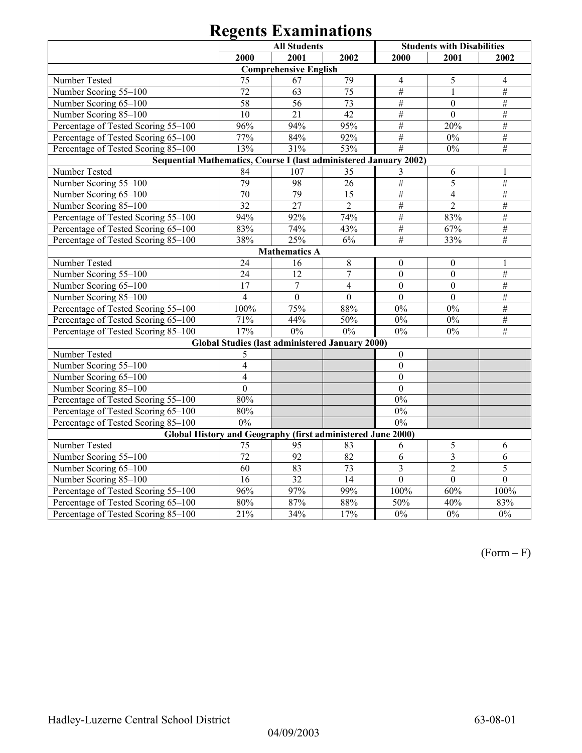|                                                                   | <b>All Students</b>                                    |                              |                  | <b>Students with Disabilities</b> |                         |                 |  |  |
|-------------------------------------------------------------------|--------------------------------------------------------|------------------------------|------------------|-----------------------------------|-------------------------|-----------------|--|--|
|                                                                   | 2000                                                   | 2001                         | 2002             | 2000                              | 2001                    | 2002            |  |  |
|                                                                   |                                                        | <b>Comprehensive English</b> |                  |                                   |                         |                 |  |  |
| Number Tested                                                     | 75                                                     | 67                           | 79               | $\overline{4}$                    | 5                       | $\overline{4}$  |  |  |
| Number Scoring 55-100                                             | 72                                                     | 63                           | $\overline{75}$  | #                                 | $\mathbf{1}$            | #               |  |  |
| Number Scoring 65-100                                             | 58                                                     | 56                           | 73               | $\#$                              | $\theta$                | $\#$            |  |  |
| Number Scoring 85-100                                             | 10                                                     | 21                           | 42               | $\overline{\#}$                   | $\overline{0}$          | $\overline{\#}$ |  |  |
| Percentage of Tested Scoring 55-100                               | 96%                                                    | 94%                          | 95%              | $\overline{\#}$                   | 20%                     | $\overline{\#}$ |  |  |
| Percentage of Tested Scoring 65-100                               | 77%                                                    | 84%                          | 92%              | $#$                               | $0\%$                   | $\overline{\#}$ |  |  |
| Percentage of Tested Scoring 85-100                               | 13%                                                    | 31%                          | 53%              | $\overline{\#}$                   | $0\%$                   | $\overline{\#}$ |  |  |
| Sequential Mathematics, Course I (last administered January 2002) |                                                        |                              |                  |                                   |                         |                 |  |  |
| Number Tested                                                     | 84                                                     | 107                          | 35               | 3                                 | 6                       | 1               |  |  |
| Number Scoring 55-100                                             | 79                                                     | 98                           | $\overline{26}$  | #                                 | $\overline{5}$          | $\overline{\#}$ |  |  |
| Number Scoring 65-100                                             | 70                                                     | 79                           | 15               | #                                 | $\overline{4}$          | $\#$            |  |  |
| Number Scoring 85-100                                             | 32                                                     | 27                           | $\overline{2}$   | #                                 | $\overline{2}$          | $\#$            |  |  |
| Percentage of Tested Scoring 55-100                               | 94%                                                    | 92%                          | 74%              | $\#$                              | 83%                     | $\#$            |  |  |
| Percentage of Tested Scoring 65-100                               | 83%                                                    | 74%                          | 43%              | $\overline{\#}$                   | 67%                     | $\#$            |  |  |
| Percentage of Tested Scoring 85-100                               | 38%                                                    | 25%                          | 6%               | #                                 | 33%                     | #               |  |  |
|                                                                   |                                                        | <b>Mathematics A</b>         |                  |                                   |                         |                 |  |  |
| Number Tested                                                     | 24                                                     | 16                           | $\,8\,$          | $\boldsymbol{0}$                  | $\boldsymbol{0}$        | 1               |  |  |
| Number Scoring 55-100                                             | 24                                                     | 12                           | $\overline{7}$   | $\boldsymbol{0}$                  | $\mathbf{0}$            | $\#$            |  |  |
| Number Scoring 65-100                                             | 17                                                     | $\overline{7}$               | $\overline{4}$   | $\overline{0}$                    | $\overline{0}$          | #               |  |  |
| Number Scoring 85-100                                             | $\overline{4}$                                         | $\overline{0}$               | $\boldsymbol{0}$ | $\boldsymbol{0}$                  | $\mathbf{0}$            | $\overline{\#}$ |  |  |
| Percentage of Tested Scoring 55-100                               | 100%                                                   | 75%                          | 88%              | $0\%$                             | $0\%$                   | $\#$            |  |  |
| Percentage of Tested Scoring 65-100                               | 71%                                                    | 44%                          | 50%              | $0\%$                             | $0\%$                   | $\#$            |  |  |
| Percentage of Tested Scoring 85-100                               | $17\frac{6}{6}$                                        | 0%                           | 0%               | 0%                                | 0%                      | $\overline{\#}$ |  |  |
|                                                                   | <b>Global Studies (last administered January 2000)</b> |                              |                  |                                   |                         |                 |  |  |
| Number Tested                                                     | 5                                                      |                              |                  | $\boldsymbol{0}$                  |                         |                 |  |  |
| Number Scoring 55-100                                             | $\overline{4}$                                         |                              |                  | $\boldsymbol{0}$                  |                         |                 |  |  |
| Number Scoring 65-100                                             | $\overline{4}$                                         |                              |                  | $\mathbf{0}$                      |                         |                 |  |  |
| Number Scoring 85-100                                             | $\overline{0}$                                         |                              |                  | $\overline{0}$                    |                         |                 |  |  |
| Percentage of Tested Scoring 55-100                               | 80%                                                    |                              |                  | 0%                                |                         |                 |  |  |
| Percentage of Tested Scoring 65-100                               | 80%                                                    |                              |                  | $0\%$                             |                         |                 |  |  |
| Percentage of Tested Scoring 85-100                               | 0%                                                     |                              |                  | 0%                                |                         |                 |  |  |
| Global History and Geography (first administered June 2000)       |                                                        |                              |                  |                                   |                         |                 |  |  |
| Number Tested                                                     | 75                                                     | 95                           | 83               | 6                                 | 5                       | 6               |  |  |
| Number Scoring 55-100                                             | 72                                                     | 92                           | $\overline{82}$  | 6                                 | $\overline{\mathbf{3}}$ | 6               |  |  |
| Number Scoring 65-100                                             | $\overline{60}$                                        | 83                           | 73               | $\overline{\mathbf{3}}$           | $\overline{2}$          | 5               |  |  |
| Number Scoring 85-100                                             | $\overline{16}$                                        | $\overline{32}$              | $\overline{14}$  | $\mathbf{0}$                      | $\overline{0}$          | $\overline{0}$  |  |  |
| Percentage of Tested Scoring 55-100                               | 96%                                                    | 97%                          | 99%              | 100%                              | 60%                     | 100%            |  |  |
| Percentage of Tested Scoring 65-100                               | 80%                                                    | 87%                          | 88%              | 50%                               | 40%                     | 83%             |  |  |
| Percentage of Tested Scoring 85-100                               | 21%                                                    | 34%                          | 17%              | $0\%$                             | $\overline{0\%}$        | 0%              |  |  |

(Form – F)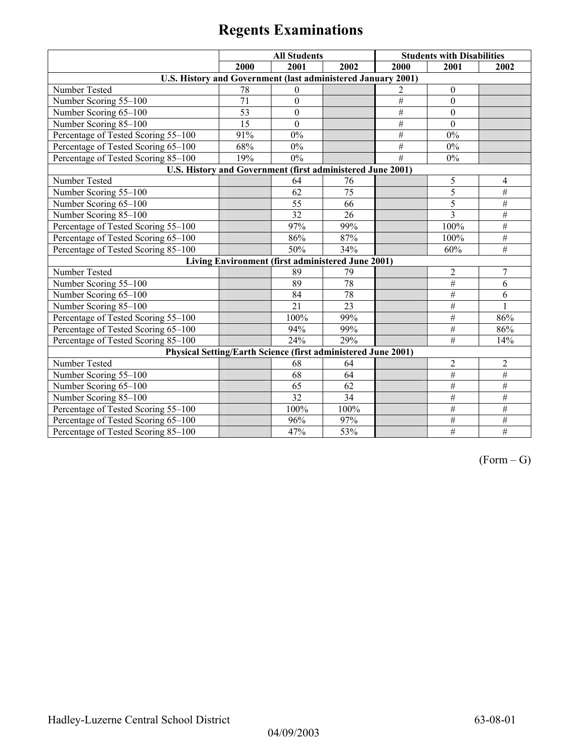|                                                               |      | <b>All Students</b>                               |                 |                 | <b>Students with Disabilities</b> |                 |
|---------------------------------------------------------------|------|---------------------------------------------------|-----------------|-----------------|-----------------------------------|-----------------|
|                                                               | 2000 | 2001                                              | 2002            | 2000            | 2001                              | 2002            |
| U.S. History and Government (last administered January 2001)  |      |                                                   |                 |                 |                                   |                 |
| Number Tested                                                 | 78   | $\mathbf{0}$                                      |                 | 2               | $\boldsymbol{0}$                  |                 |
| Number Scoring 55-100                                         | 71   | $\boldsymbol{0}$                                  |                 | #               | $\theta$                          |                 |
| Number Scoring 65-100                                         | 53   | $\boldsymbol{0}$                                  |                 | $\#$            | $\mathbf{0}$                      |                 |
| Number Scoring 85-100                                         | 15   | $\mathbf{0}$                                      |                 | #               | $\theta$                          |                 |
| Percentage of Tested Scoring 55-100                           | 91%  | 0%                                                |                 | $#$             | 0%                                |                 |
| Percentage of Tested Scoring 65-100                           | 68%  | $0\%$                                             |                 | $\overline{\#}$ | $0\%$                             |                 |
| Percentage of Tested Scoring 85-100                           | 19%  | $0\%$                                             |                 | #               | $0\%$                             |                 |
| U.S. History and Government (first administered June 2001)    |      |                                                   |                 |                 |                                   |                 |
| Number Tested                                                 |      | 64                                                | 76              |                 | 5                                 | 4               |
| Number Scoring 55-100                                         |      | 62                                                | 75              |                 | 5                                 | $\#$            |
| Number Scoring 65-100                                         |      | 55                                                | 66              |                 | 5                                 | #               |
| Number Scoring 85-100                                         |      | $\overline{32}$                                   | 26              |                 | $\overline{3}$                    | #               |
| Percentage of Tested Scoring 55-100                           |      | 97%                                               | 99%             |                 | 100%                              | #               |
| Percentage of Tested Scoring 65-100                           |      | 86%                                               | 87%             |                 | 100%                              | $\overline{\#}$ |
| Percentage of Tested Scoring 85-100                           |      | 50%                                               | 34%             |                 | 60%                               | #               |
|                                                               |      | Living Environment (first administered June 2001) |                 |                 |                                   |                 |
| Number Tested                                                 |      | 89                                                | 79              |                 | $\overline{2}$                    | 7               |
| Number Scoring 55-100                                         |      | 89                                                | $\overline{78}$ |                 | $\#$                              | 6               |
| Number Scoring 65-100                                         |      | 84                                                | 78              |                 | #                                 | 6               |
| Number Scoring 85-100                                         |      | 21                                                | 23              |                 | $\#$                              |                 |
| Percentage of Tested Scoring 55-100                           |      | 100%                                              | 99%             |                 | $\#$                              | 86%             |
| Percentage of Tested Scoring 65-100                           |      | 94%                                               | 99%             |                 | $\overline{\#}$                   | 86%             |
| Percentage of Tested Scoring 85-100                           |      | 24%                                               | 29%             |                 | #                                 | 14%             |
| Physical Setting/Earth Science (first administered June 2001) |      |                                                   |                 |                 |                                   |                 |
| Number Tested                                                 |      | 68                                                | 64              |                 | $\boldsymbol{2}$                  | $\overline{c}$  |
| Number Scoring 55-100                                         |      | 68                                                | 64              |                 | $\#$                              | $\#$            |
| Number Scoring 65-100                                         |      | 65                                                | 62              |                 | $\overline{\#}$                   | $\overline{\#}$ |
| Number Scoring 85-100                                         |      | 32                                                | 34              |                 | $\overline{\#}$                   | $#$             |
| Percentage of Tested Scoring 55-100                           |      | 100%                                              | 100%            |                 | $\#$                              | $\#$            |
| Percentage of Tested Scoring 65-100                           |      | 96%                                               | 97%             |                 | $\#$                              | #               |
| Percentage of Tested Scoring 85-100                           |      | 47%                                               | 53%             |                 | $\overline{\#}$                   | $\overline{\#}$ |

 $(Form - G)$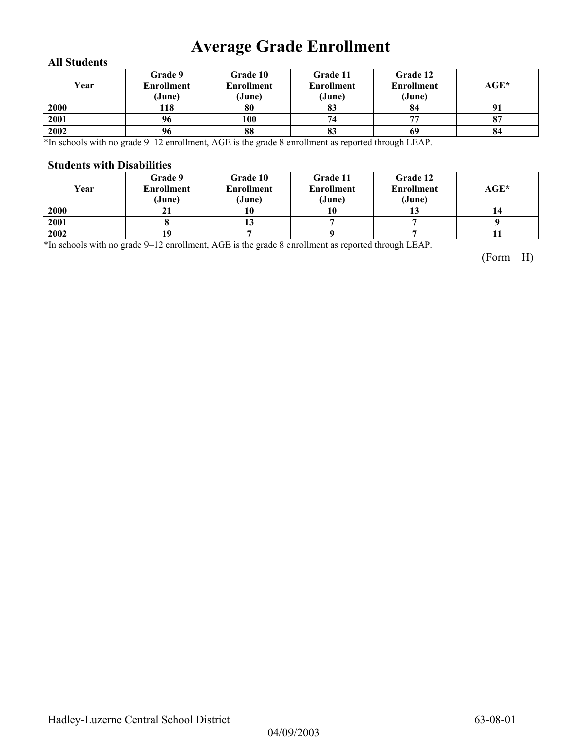## **Average Grade Enrollment**

#### **All Students**

| Year | Grade 9<br>Enrollment<br>(June) | Grade 10<br><b>Enrollment</b><br>(June) | Grade 11<br><b>Enrollment</b><br>(June) | Grade 12<br><b>Enrollment</b><br>(June) | AGE* |
|------|---------------------------------|-----------------------------------------|-----------------------------------------|-----------------------------------------|------|
| 2000 | 118                             | 80                                      | 83                                      | 84                                      |      |
| 2001 | 96                              | 100                                     | 74                                      | 77                                      | 87   |
| 2002 | 96                              | 88                                      | 83                                      | 69                                      | 84   |

\*In schools with no grade 9–12 enrollment, AGE is the grade 8 enrollment as reported through LEAP.

#### **Students with Disabilities**

| Year | Grade 9<br><b>Enrollment</b><br>(June) | <b>Grade 10</b><br><b>Enrollment</b><br>(June) | Grade 11<br><b>Enrollment</b><br>(June) | Grade 12<br><b>Enrollment</b><br>(June) | $AGE^*$ |
|------|----------------------------------------|------------------------------------------------|-----------------------------------------|-----------------------------------------|---------|
| 2000 | ΖI                                     |                                                | 10                                      | IJ                                      |         |
| 2001 |                                        |                                                |                                         |                                         |         |
| 2002 |                                        |                                                |                                         |                                         |         |

\*In schools with no grade 9–12 enrollment, AGE is the grade 8 enrollment as reported through LEAP.

(Form – H)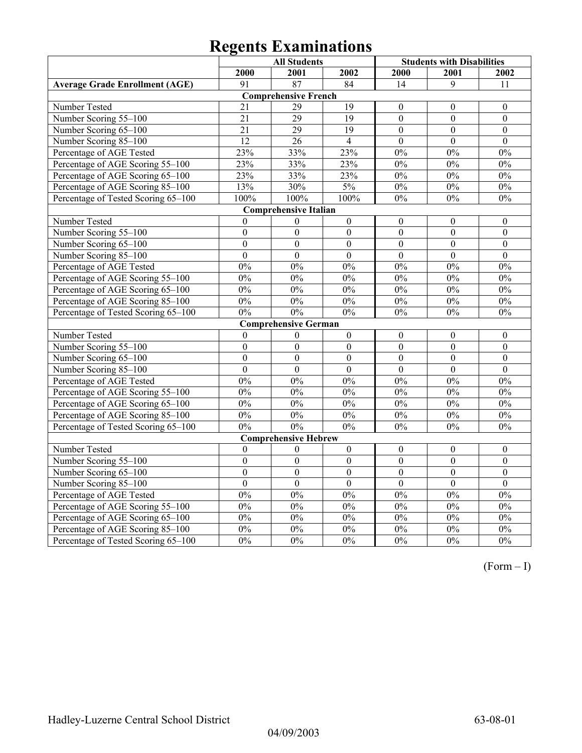|                                       |                  | <b>All Students</b>          |                  | <b>Students with Disabilities</b> |                  |                  |
|---------------------------------------|------------------|------------------------------|------------------|-----------------------------------|------------------|------------------|
|                                       | 2000             | 2001                         | 2002             | 2000                              | 2001             | 2002             |
| <b>Average Grade Enrollment (AGE)</b> | 91               | 87                           | 84               | 14                                | 9                | 11               |
|                                       |                  | <b>Comprehensive French</b>  |                  |                                   |                  |                  |
| Number Tested                         | 21               | 29                           | 19               | $\theta$                          | $\mathbf{0}$     | $\mathbf{0}$     |
| Number Scoring 55-100                 | 21               | $\overline{29}$              | $\overline{19}$  | $\overline{0}$                    | $\overline{0}$   | $\boldsymbol{0}$ |
| Number Scoring 65-100                 | $\overline{21}$  | $\overline{29}$              | $\overline{19}$  | $\overline{0}$                    | $\overline{0}$   | $\boldsymbol{0}$ |
| Number Scoring 85-100                 | $\overline{12}$  | 26                           | $\overline{4}$   | $\theta$                          | $\theta$         | $\theta$         |
| Percentage of AGE Tested              | 23%              | 33%                          | 23%              | $0\%$                             | $0\%$            | $0\%$            |
| Percentage of AGE Scoring 55-100      | 23%              | 33%                          | 23%              | 0%                                | 0%               | 0%               |
| Percentage of AGE Scoring 65-100      | 23%              | 33%                          | 23%              | 0%                                | 0%               | 0%               |
| Percentage of AGE Scoring 85-100      | 13%              | 30%                          | 5%               | $0\%$                             | $0\%$            | $0\%$            |
| Percentage of Tested Scoring 65-100   | 100%             | 100%                         | 100%             | 0%                                | 0%               | 0%               |
|                                       |                  | <b>Comprehensive Italian</b> |                  |                                   |                  |                  |
| Number Tested                         | $\boldsymbol{0}$ | $\boldsymbol{0}$             | $\boldsymbol{0}$ | $\boldsymbol{0}$                  | $\boldsymbol{0}$ | $\boldsymbol{0}$ |
| Number Scoring 55-100                 | $\boldsymbol{0}$ | $\boldsymbol{0}$             | $\boldsymbol{0}$ | $\boldsymbol{0}$                  | $\boldsymbol{0}$ | $\boldsymbol{0}$ |
| Number Scoring 65-100                 | $\overline{0}$   | $\overline{0}$               | $\overline{0}$   | $\overline{0}$                    | $\overline{0}$   | $\overline{0}$   |
| Number Scoring 85-100                 | $\overline{0}$   | $\overline{0}$               | $\overline{0}$   | $\overline{0}$                    | $\overline{0}$   | $\overline{0}$   |
| Percentage of AGE Tested              | 0%               | 0%                           | 0%               | 0%                                | 0%               | 0%               |
| Percentage of AGE Scoring 55-100      | 0%               | 0%                           | 0%               | 0%                                | 0%               | 0%               |
| Percentage of AGE Scoring 65-100      | 0%               | 0%                           | 0%               | 0%                                | 0%               | 0%               |
| Percentage of AGE Scoring 85-100      | $0\%$            | $0\%$                        | $0\%$            | $0\%$                             | $0\%$            | $0\%$            |
| Percentage of Tested Scoring 65-100   | $0\%$            | 0%                           | $0\%$            | 0%                                | $0\%$            | $0\%$            |
|                                       |                  | <b>Comprehensive German</b>  |                  |                                   |                  |                  |
| Number Tested                         | $\boldsymbol{0}$ | $\boldsymbol{0}$             | $\boldsymbol{0}$ | $\boldsymbol{0}$                  | $\boldsymbol{0}$ | $\boldsymbol{0}$ |
| Number Scoring 55-100                 | $\mathbf{0}$     | $\mathbf{0}$                 | $\overline{0}$   | $\overline{0}$                    | $\boldsymbol{0}$ | $\boldsymbol{0}$ |
| Number Scoring 65-100                 | $\boldsymbol{0}$ | $\boldsymbol{0}$             | $\boldsymbol{0}$ | $\boldsymbol{0}$                  | $\boldsymbol{0}$ | $\boldsymbol{0}$ |
| Number Scoring 85-100                 | $\overline{0}$   | $\overline{0}$               | $\overline{0}$   | $\theta$                          | $\overline{0}$   | $\overline{0}$   |
| Percentage of AGE Tested              | 0%               | 0%                           | 0%               | 0%                                | 0%               | 0%               |
| Percentage of AGE Scoring 55-100      | $0\%$            | $0\%$                        | $0\%$            | $0\%$                             | $0\%$            | $0\%$            |
| Percentage of AGE Scoring 65-100      | 0%               | 0%                           | 0%               | 0%                                | $0\%$            | $0\%$            |
| Percentage of AGE Scoring 85-100      | 0%               | 0%                           | 0%               | 0%                                | 0%               | 0%               |
| Percentage of Tested Scoring 65-100   | 0%               | 0%                           | 0%               | 0%                                | $0\%$            | $0\%$            |
|                                       |                  | <b>Comprehensive Hebrew</b>  |                  |                                   |                  |                  |
| Number Tested                         | $\theta$         | $\theta$                     | $\boldsymbol{0}$ | $\boldsymbol{0}$                  | $\boldsymbol{0}$ | $\boldsymbol{0}$ |
| Number Scoring 55-100                 | $\boldsymbol{0}$ | $\overline{0}$               | $\overline{0}$   | $\boldsymbol{0}$                  | $\boldsymbol{0}$ | $\boldsymbol{0}$ |
| Number Scoring 65-100                 | $\overline{0}$   | $\overline{0}$               | $\boldsymbol{0}$ | $\overline{0}$                    | $\boldsymbol{0}$ | $\overline{0}$   |
| Number Scoring 85-100                 | $\overline{0}$   | $\overline{0}$               | $\overline{0}$   | $\overline{0}$                    | $\overline{0}$   | $\overline{0}$   |
| Percentage of AGE Tested              | 0%               | 0%                           | 0%               | 0%                                | 0%               | 0%               |
| Percentage of AGE Scoring 55-100      | 0%               | 0%                           | 0%               | 0%                                | 0%               | 0%               |
| Percentage of AGE Scoring 65-100      | $\overline{0\%}$ | $0\%$                        | $\overline{0\%}$ | 0%                                | $\overline{0\%}$ | $0\%$            |
| Percentage of AGE Scoring 85-100      | $0\%$            | $\overline{0}$ %             | $0\%$            | $0\%$                             | $0\%$            | $0\%$            |
| Percentage of Tested Scoring 65-100   | 0%               | 0%                           | 0%               | 0%                                | 0%               | $\overline{0\%}$ |

(Form – I)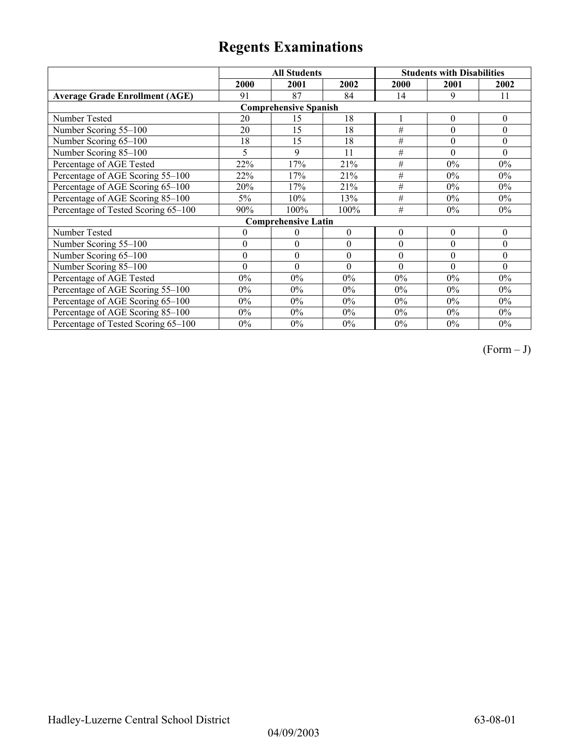|                                       |                              | <b>All Students</b>        |                  |          | <b>Students with Disabilities</b> |          |  |  |  |
|---------------------------------------|------------------------------|----------------------------|------------------|----------|-----------------------------------|----------|--|--|--|
|                                       | 2000                         | 2001                       | 2002             | 2000     | 2001                              | 2002     |  |  |  |
| <b>Average Grade Enrollment (AGE)</b> | 91                           | 87                         | 84               | 14       | 9                                 | 11       |  |  |  |
|                                       | <b>Comprehensive Spanish</b> |                            |                  |          |                                   |          |  |  |  |
| Number Tested                         | 20                           | 15                         | 18               |          | $\theta$                          | $\theta$ |  |  |  |
| Number Scoring 55-100                 | 20                           | 15                         | 18               | #        | $\theta$                          | $\theta$ |  |  |  |
| Number Scoring 65-100                 | 18                           | 15                         | 18               | $\#$     | $\theta$                          | $\theta$ |  |  |  |
| Number Scoring 85-100                 | 5                            | 9                          | 11               | #        | $\Omega$                          | $\theta$ |  |  |  |
| Percentage of AGE Tested              | 22%                          | 17%                        | 21%              | $\#$     | $0\%$                             | $0\%$    |  |  |  |
| Percentage of AGE Scoring 55-100      | 22%                          | 17%                        | 21%              | $\#$     | $0\%$                             | $0\%$    |  |  |  |
| Percentage of AGE Scoring 65-100      | 20%                          | 17%                        | 21%              | $\#$     | 0%                                | 0%       |  |  |  |
| Percentage of AGE Scoring 85-100      | $5\%$                        | 10%                        | 13%              | #        | $0\%$                             | 0%       |  |  |  |
| Percentage of Tested Scoring 65-100   | 90%                          | 100%                       | 100%             | #        | 0%                                | $0\%$    |  |  |  |
|                                       |                              | <b>Comprehensive Latin</b> |                  |          |                                   |          |  |  |  |
| Number Tested                         | $\boldsymbol{0}$             | $\theta$                   | $\boldsymbol{0}$ | $\theta$ | $\theta$                          | $\theta$ |  |  |  |
| Number Scoring 55-100                 | $\theta$                     | $\theta$                   | $\boldsymbol{0}$ | $\theta$ | $\theta$                          | $\theta$ |  |  |  |
| Number Scoring 65-100                 | $\boldsymbol{0}$             | $\boldsymbol{0}$           | $\boldsymbol{0}$ | $\theta$ | $\theta$                          | $\theta$ |  |  |  |
| Number Scoring 85-100                 | $\theta$                     | $\theta$                   | $\theta$         | $\theta$ | $\theta$                          | $\Omega$ |  |  |  |
| Percentage of AGE Tested              | $0\%$                        | $0\%$                      | $0\%$            | $0\%$    | $0\%$                             | $0\%$    |  |  |  |
| Percentage of AGE Scoring 55-100      | $0\%$                        | $0\%$                      | $0\%$            | $0\%$    | 0%                                | $0\%$    |  |  |  |
| Percentage of AGE Scoring 65-100      | $0\%$                        | $0\%$                      | $0\%$            | $0\%$    | $0\%$                             | 0%       |  |  |  |
| Percentage of AGE Scoring 85-100      | $0\%$                        | $0\%$                      | $0\%$            | $0\%$    | $0\%$                             | $0\%$    |  |  |  |
| Percentage of Tested Scoring 65-100   | $0\%$                        | $0\%$                      | $0\%$            | $0\%$    | $0\%$                             | $0\%$    |  |  |  |

 $(Form - J)$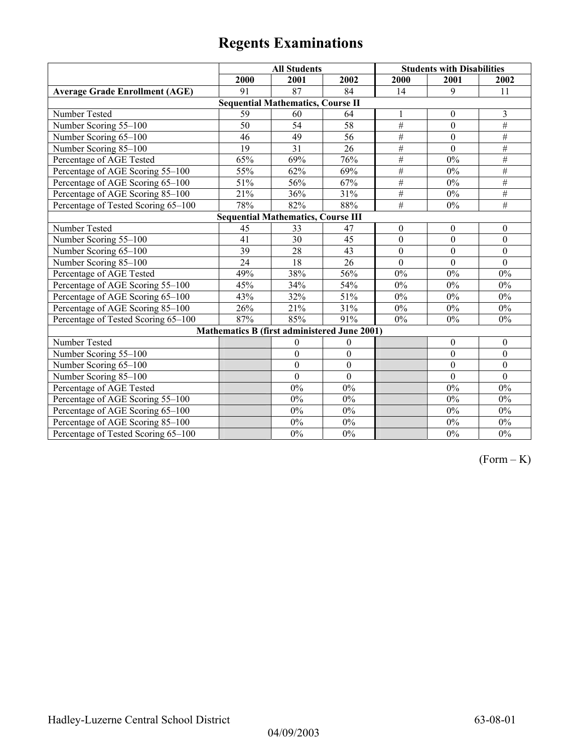|                                       | <b>All Students</b> |                                              |                  | <b>Students with Disabilities</b> |                  |                  |
|---------------------------------------|---------------------|----------------------------------------------|------------------|-----------------------------------|------------------|------------------|
|                                       | 2000                | 2001                                         | 2002             | 2000                              | 2001             | 2002             |
| <b>Average Grade Enrollment (AGE)</b> | 91                  | 87                                           | 84               | 14                                | 9                | 11               |
|                                       |                     | <b>Sequential Mathematics, Course II</b>     |                  |                                   |                  |                  |
| Number Tested                         | 59                  | 60                                           | 64               | 1                                 | $\mathbf{0}$     | 3                |
| Number Scoring 55-100                 | $\overline{50}$     | $\overline{54}$                              | 58               | $\#$                              | $\mathbf{0}$     | $\#$             |
| Number Scoring 65-100                 | 46                  | 49                                           | 56               | $\overline{\#}$                   | $\mathbf{0}$     | $\#$             |
| Number Scoring 85-100                 | 19                  | $\overline{31}$                              | $\overline{26}$  | $\#$                              | $\overline{0}$   | $\#$             |
| Percentage of AGE Tested              | 65%                 | 69%                                          | 76%              | $\#$                              | 0%               | $\#$             |
| Percentage of AGE Scoring 55-100      | 55%                 | 62%                                          | 69%              | $\#$                              | 0%               | $\#$             |
| Percentage of AGE Scoring 65-100      | 51%                 | 56%                                          | 67%              | $#$                               | $0\%$            | $\#$             |
| Percentage of AGE Scoring 85-100      | 21%                 | 36%                                          | 31%              | $\#$                              | $0\%$            | $\overline{\#}$  |
| Percentage of Tested Scoring 65-100   | 78%                 | 82%                                          | 88%              | $\overline{\#}$                   | 0%               | $\overline{\#}$  |
|                                       |                     | <b>Sequential Mathematics, Course III</b>    |                  |                                   |                  |                  |
| Number Tested                         | 45                  | 33                                           | 47               | $\boldsymbol{0}$                  | $\boldsymbol{0}$ | $\boldsymbol{0}$ |
| Number Scoring 55-100                 | 41                  | $\overline{30}$                              | 45               | $\mathbf{0}$                      | $\mathbf{0}$     | $\mathbf{0}$     |
| Number Scoring 65-100                 | 39                  | 28                                           | 43               | $\mathbf{0}$                      | $\theta$         | $\theta$         |
| Number Scoring 85-100                 | 24                  | 18                                           | 26               | $\mathbf{0}$                      | $\mathbf{0}$     | $\mathbf{0}$     |
| Percentage of AGE Tested              | 49%                 | 38%                                          | 56%              | 0%                                | 0%               | $0\%$            |
| Percentage of AGE Scoring 55-100      | 45%                 | 34%                                          | 54%              | 0%                                | 0%               | $0\%$            |
| Percentage of AGE Scoring 65-100      | 43%                 | 32%                                          | 51%              | 0%                                | 0%               | $0\%$            |
| Percentage of AGE Scoring 85-100      | 26%                 | 21%                                          | 31%              | $0\%$                             | $0\%$            | $0\%$            |
| Percentage of Tested Scoring 65-100   | 87%                 | 85%                                          | 91%              | $0\%$                             | 0%               | $0\%$            |
|                                       |                     | Mathematics B (first administered June 2001) |                  |                                   |                  |                  |
| Number Tested                         |                     | $\boldsymbol{0}$                             | $\boldsymbol{0}$ |                                   | $\boldsymbol{0}$ | $\boldsymbol{0}$ |
| Number Scoring 55-100                 |                     | $\boldsymbol{0}$                             | $\boldsymbol{0}$ |                                   | $\mathbf{0}$     | $\boldsymbol{0}$ |
| Number Scoring 65-100                 |                     | $\boldsymbol{0}$                             | $\boldsymbol{0}$ |                                   | $\boldsymbol{0}$ | $\boldsymbol{0}$ |
| Number Scoring 85-100                 |                     | $\mathbf{0}$                                 | $\mathbf{0}$     |                                   | $\theta$         | $\mathbf{0}$     |
| Percentage of AGE Tested              |                     | 0%                                           | $0\%$            |                                   | 0%               | 0%               |
| Percentage of AGE Scoring 55-100      |                     | 0%                                           | $0\%$            |                                   | 0%               | $0\%$            |
| Percentage of AGE Scoring 65-100      |                     | 0%                                           | $0\%$            |                                   | 0%               | $0\%$            |
| Percentage of AGE Scoring 85-100      |                     | $0\%$                                        | $0\%$            |                                   | $0\%$            | $0\%$            |
| Percentage of Tested Scoring 65-100   |                     | $0\%$                                        | $0\%$            |                                   | $0\%$            | $0\%$            |

 $(Form - K)$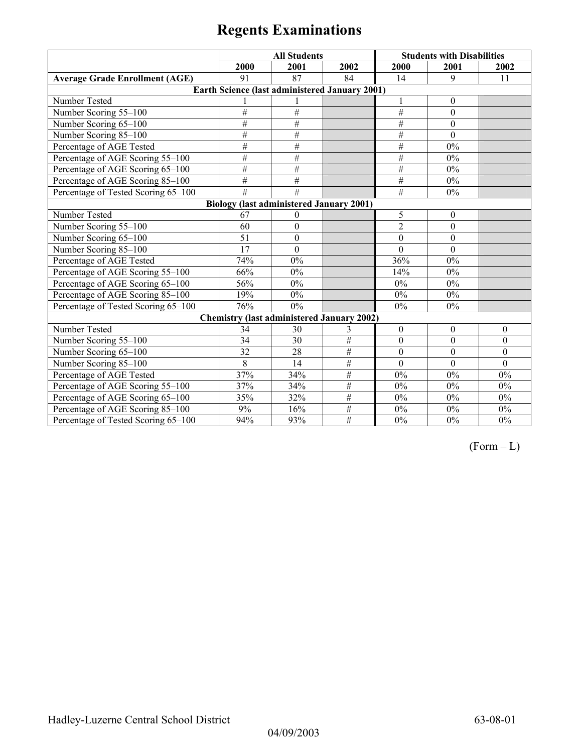|                                       | <b>All Students</b>                                   |                  |                 | <b>Students with Disabilities</b> |              |              |
|---------------------------------------|-------------------------------------------------------|------------------|-----------------|-----------------------------------|--------------|--------------|
|                                       | 2000                                                  | 2001             | 2002            | 2000                              | 2001         | 2002         |
| <b>Average Grade Enrollment (AGE)</b> | 91                                                    | 87               | 84              | 14                                | 9            | 11           |
|                                       | <b>Earth Science (last administered January 2001)</b> |                  |                 |                                   |              |              |
| Number Tested                         |                                                       |                  |                 | 1                                 | $\theta$     |              |
| Number Scoring 55-100                 | #                                                     | $\overline{\#}$  |                 | #                                 | $\theta$     |              |
| Number Scoring 65-100                 | #                                                     | #                |                 | $\#$                              | $\theta$     |              |
| Number Scoring 85-100                 | #                                                     | $\overline{\#}$  |                 | $\#$                              | $\Omega$     |              |
| Percentage of AGE Tested              | $\#$                                                  | $\#$             |                 | #                                 | $0\%$        |              |
| Percentage of AGE Scoring 55-100      | #                                                     | #                |                 | #                                 | $0\%$        |              |
| Percentage of AGE Scoring 65-100      | $\#$                                                  | #                |                 | #                                 | $0\%$        |              |
| Percentage of AGE Scoring 85-100      | $\overline{\#}$                                       | #                |                 | #                                 | $0\%$        |              |
| Percentage of Tested Scoring 65-100   | $\overline{\#}$                                       | #                |                 | #                                 | $0\%$        |              |
|                                       | <b>Biology (last administered January 2001)</b>       |                  |                 |                                   |              |              |
| Number Tested                         | 67                                                    | $\bf{0}$         |                 | 5                                 | $\mathbf{0}$ |              |
| Number Scoring 55-100                 | 60                                                    | $\boldsymbol{0}$ |                 | 2                                 | $\theta$     |              |
| Number Scoring 65-100                 | 51                                                    | $\mathbf{0}$     |                 | $\theta$                          | $\mathbf{0}$ |              |
| Number Scoring 85-100                 | 17                                                    | $\boldsymbol{0}$ |                 | $\overline{0}$                    | $\mathbf{0}$ |              |
| Percentage of AGE Tested              | 74%                                                   | 0%               |                 | 36%                               | $0\%$        |              |
| Percentage of AGE Scoring 55-100      | 66%                                                   | $0\%$            |                 | 14%                               | $0\%$        |              |
| Percentage of AGE Scoring 65-100      | 56%                                                   | $0\%$            |                 | $0\%$                             | $0\%$        |              |
| Percentage of AGE Scoring 85-100      | 19%                                                   | $0\%$            |                 | $0\%$                             | $0\%$        |              |
| Percentage of Tested Scoring 65-100   | 76%                                                   | $0\%$            |                 | $0\%$                             | $0\%$        |              |
|                                       | <b>Chemistry (last administered January 2002)</b>     |                  |                 |                                   |              |              |
| Number Tested                         | 34                                                    | 30               | 3               | $\boldsymbol{0}$                  | $\theta$     | $\Omega$     |
| Number Scoring 55-100                 | 34                                                    | 30               | #               | $\boldsymbol{0}$                  | $\mathbf{0}$ | $\mathbf{0}$ |
| Number Scoring 65-100                 | 32                                                    | 28               | #               | $\boldsymbol{0}$                  | $\theta$     | $\mathbf{0}$ |
| Number Scoring 85-100                 | 8                                                     | 14               | $\overline{\#}$ | $\mathbf{0}$                      | $\mathbf{0}$ | $\mathbf{0}$ |
| Percentage of AGE Tested              | 37%                                                   | 34%              | #               | $0\%$                             | $0\%$        | 0%           |
| Percentage of AGE Scoring 55-100      | 37%                                                   | 34%              | #               | $0\%$                             | $0\%$        | 0%           |
| Percentage of AGE Scoring 65-100      | 35%                                                   | 32%              | #               | $0\%$                             | 0%           | $0\%$        |
| Percentage of AGE Scoring 85-100      | 9%                                                    | 16%              | #               | $0\%$                             | $0\%$        | $0\%$        |
| Percentage of Tested Scoring 65-100   | 94%                                                   | 93%              | #               | $0\%$                             | $0\%$        | $0\%$        |

 $(Form - L)$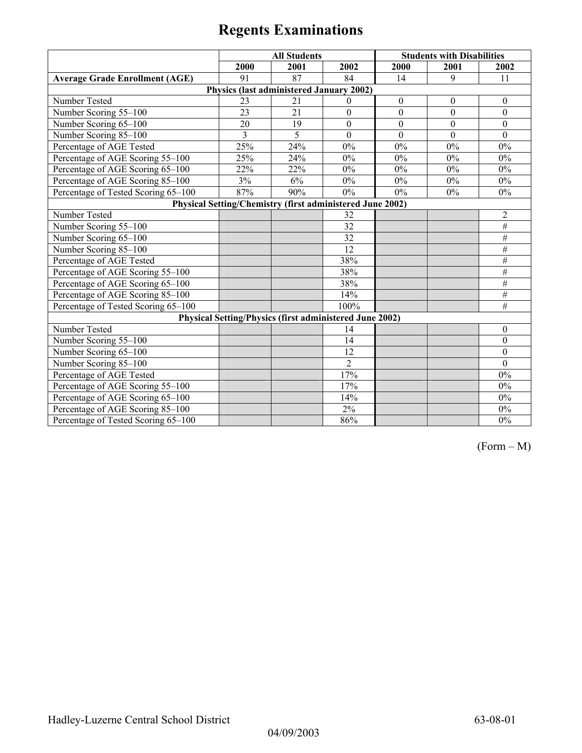|                                       |      | <b>All Students</b>                      |                                                                |                  | <b>Students with Disabilities</b> |                  |
|---------------------------------------|------|------------------------------------------|----------------------------------------------------------------|------------------|-----------------------------------|------------------|
|                                       | 2000 | 2001                                     | 2002                                                           | 2000             | 2001                              | 2002             |
| <b>Average Grade Enrollment (AGE)</b> | 91   | 87                                       | 84                                                             | 14               | 9                                 | 11               |
|                                       |      | Physics (last administered January 2002) |                                                                |                  |                                   |                  |
| Number Tested                         | 23   | 21                                       | $\theta$                                                       | $\boldsymbol{0}$ | $\boldsymbol{0}$                  | $\boldsymbol{0}$ |
| Number Scoring 55-100                 | 23   | $\overline{21}$                          | $\mathbf{0}$                                                   | $\overline{0}$   | $\mathbf{0}$                      | $\mathbf{0}$     |
| Number Scoring 65-100                 | 20   | 19                                       | $\boldsymbol{0}$                                               | $\boldsymbol{0}$ | $\boldsymbol{0}$                  | $\boldsymbol{0}$ |
| Number Scoring 85-100                 | 3    | $\overline{5}$                           | $\mathbf{0}$                                                   | $\Omega$         | $\Omega$                          | $\theta$         |
| Percentage of AGE Tested              | 25%  | 24%                                      | $0\%$                                                          | 0%               | 0%                                | $0\%$            |
| Percentage of AGE Scoring 55-100      | 25%  | 24%                                      | $0\%$                                                          | 0%               | 0%                                | $0\%$            |
| Percentage of AGE Scoring 65-100      | 22%  | 22%                                      | $0\%$                                                          | $0\%$            | $0\%$                             | $0\%$            |
| Percentage of AGE Scoring 85-100      | 3%   | 6%                                       | 0%                                                             | $0\%$            | $0\%$                             | $0\%$            |
| Percentage of Tested Scoring 65-100   | 87%  | 90%                                      | $0\%$                                                          | $0\%$            | 0%                                | 0%               |
|                                       |      |                                          | Physical Setting/Chemistry (first administered June 2002)      |                  |                                   |                  |
| Number Tested                         |      |                                          | 32                                                             |                  |                                   | $\overline{2}$   |
| Number Scoring 55-100                 |      |                                          | $\overline{32}$                                                |                  |                                   | #                |
| Number Scoring 65-100                 |      |                                          | 32                                                             |                  |                                   | $\#$             |
| Number Scoring 85-100                 |      |                                          | $\overline{12}$                                                |                  |                                   | $\#$             |
| Percentage of AGE Tested              |      |                                          | 38%                                                            |                  |                                   | #                |
| Percentage of AGE Scoring 55-100      |      |                                          | 38%                                                            |                  |                                   | $\#$             |
| Percentage of AGE Scoring 65-100      |      |                                          | 38%                                                            |                  |                                   | #                |
| Percentage of AGE Scoring 85-100      |      |                                          | 14%                                                            |                  |                                   | $\#$             |
| Percentage of Tested Scoring 65-100   |      |                                          | 100%                                                           |                  |                                   | #                |
|                                       |      |                                          | <b>Physical Setting/Physics (first administered June 2002)</b> |                  |                                   |                  |
| Number Tested                         |      |                                          | 14                                                             |                  |                                   | $\theta$         |
| Number Scoring 55-100                 |      |                                          | 14                                                             |                  |                                   | $\overline{0}$   |
| Number Scoring 65-100                 |      |                                          | 12                                                             |                  |                                   | $\boldsymbol{0}$ |
| Number Scoring 85-100                 |      |                                          | $\overline{2}$                                                 |                  |                                   | $\Omega$         |
| Percentage of AGE Tested              |      |                                          | 17%                                                            |                  |                                   | $0\%$            |
| Percentage of AGE Scoring 55-100      |      |                                          | 17%                                                            |                  |                                   | 0%               |
| Percentage of AGE Scoring 65-100      |      |                                          | 14%                                                            |                  |                                   | $0\%$            |
| Percentage of AGE Scoring 85-100      |      |                                          | $2\%$                                                          |                  |                                   | $0\%$            |
| Percentage of Tested Scoring 65-100   |      |                                          | 86%                                                            |                  |                                   | 0%               |

(Form – M)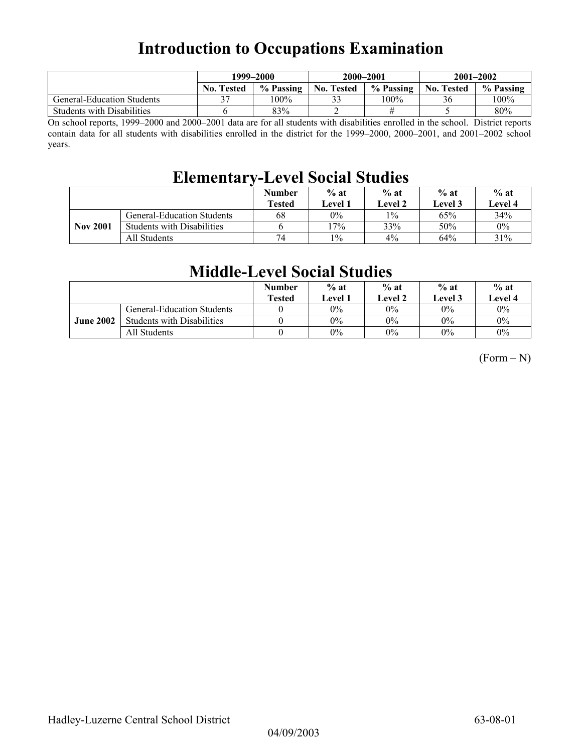## **Introduction to Occupations Examination**

|                                   | 1999–2000         |           |                   | 2000-2001 | $2001 - 2002$     |           |
|-----------------------------------|-------------------|-----------|-------------------|-----------|-------------------|-----------|
|                                   | <b>No. Tested</b> | % Passing | <b>No. Tested</b> | % Passing | <b>No. Tested</b> | % Passing |
| <b>General-Education Students</b> |                   | 100%      |                   | $100\%$   | 36                | $100\%$   |
| <b>Students with Disabilities</b> |                   | 83%       |                   |           |                   | 80%       |

On school reports, 1999–2000 and 2000–2001 data are for all students with disabilities enrolled in the school. District reports contain data for all students with disabilities enrolled in the district for the 1999–2000, 2000–2001, and 2001–2002 school years.

### **Elementary-Level Social Studies**

|                 |                                   | <b>Number</b><br><b>Tested</b> | $%$ at<br><b>Level 1</b> | $%$ at<br>Level 2 | $%$ at<br>Level 3 | $%$ at<br><b>Level 4</b> |
|-----------------|-----------------------------------|--------------------------------|--------------------------|-------------------|-------------------|--------------------------|
|                 | General-Education Students        | 68                             | $0\%$                    | $1\%$             | 65%               | 34%                      |
| <b>Nov 2001</b> | <b>Students with Disabilities</b> |                                | $7\%$                    | 33%               | 50%               | $0\%$                    |
|                 | All Students                      | 74                             | $1\%$                    | 4%                | 64%               | 31%                      |

### **Middle-Level Social Studies**

|                  |                                   | <b>Number</b><br><b>Tested</b> | $%$ at<br><b>Level</b> 1 | $%$ at<br>Level 2 | $%$ at<br>Level 3 | $%$ at<br>Level 4 |
|------------------|-----------------------------------|--------------------------------|--------------------------|-------------------|-------------------|-------------------|
|                  | <b>General-Education Students</b> |                                | $0\%$                    | $0\%$             | $0\%$             | $0\%$             |
| <b>June 2002</b> | <b>Students with Disabilities</b> |                                | $0\%$                    | $0\%$             | $0\%$             | $0\%$             |
|                  | All Students                      |                                | $0\%$                    | $0\%$             | $0\%$             | $0\%$             |

 $(Form - N)$